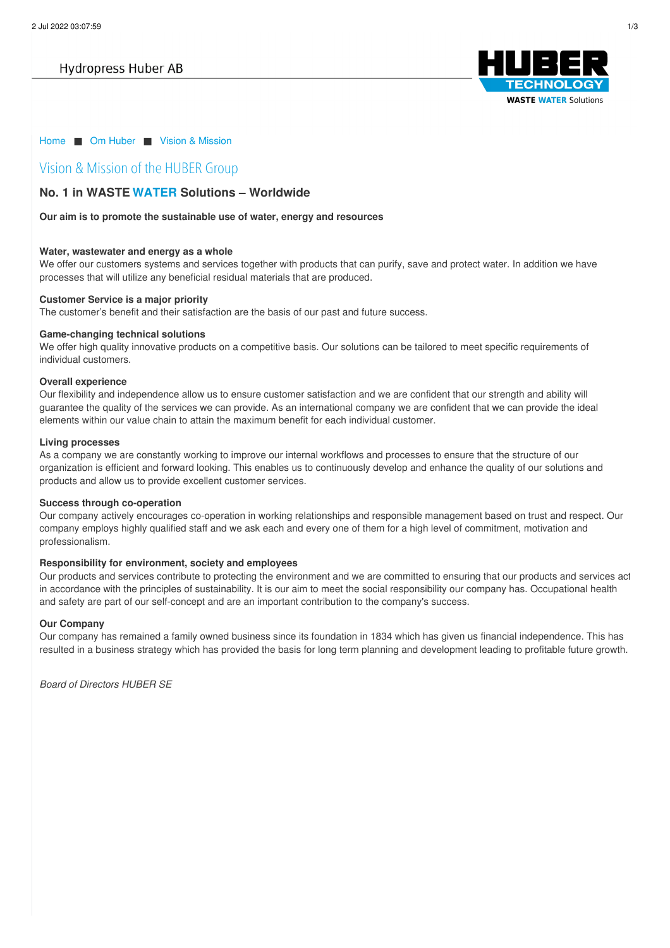# **Hydropress Huber AB**



[Home](/se.html) ■ Om [Huber](/se/om-huber.html) ■ Vision & [Mission](/se/om-huber/vision-mission.html)

# Vision & Mission of the HUBER Group

# **No. 1 in WASTE WATER Solutions – Worldwide**

### **Our aim is to promote the sustainable use of water, energy and resources**

#### **Water, wastewater and energy as a whole**

We offer our customers systems and services together with products that can purify, save and protect water. In addition we have processes that will utilize any beneficial residual materials that are produced.

#### **Customer Service is a major priority**

The customer's benefit and their satisfaction are the basis of our past and future success.

#### **Game-changing technical solutions**

We offer high quality innovative products on a competitive basis. Our solutions can be tailored to meet specific requirements of individual customers.

#### **Overall experience**

Our flexibility and independence allow us to ensure customer satisfaction and we are confident that our strength and ability will guarantee the quality of the [services](https://www.huber.de/se/imprint/terms.html) we can provide. As an international company we are confident that we can provide the ideal elements [within](#) our value chain to attain the maximum benefit for each individual customer.

### **Living processes**

As a company we are constantly working to improve our internal workflows and processes to ensure that the structure of our organization is efficient and forward looking. This enables us to continuously develop and enhance the quality of our solutions and products and allow us to provide excellent customer services.

# **Success through co-operation**

Our company actively encourages co-operation in working relationships and responsible management based on trust and respect. Our company employs highly qualified staff and we ask each and every one of them for a high level of commitment, motivation and professionalism.

## **Responsibility for environment, society and employees**

Our products and services contribute to protecting the environment and we are committed to ensuring that our products and services act in accordance with the principles of sustainability. It is our aim to meet the social responsibility our company has. Occupational health and safety are part of our self-concept and are an important contribution to the company's success.

### **Our Company**

Our company has remained a family owned business since its foundation in 1834 which has given us financial independence. This has resulted in a business strategy which has provided the basis for long term planning and development leading to profitable future growth.

*Board of Directors HUBER SE*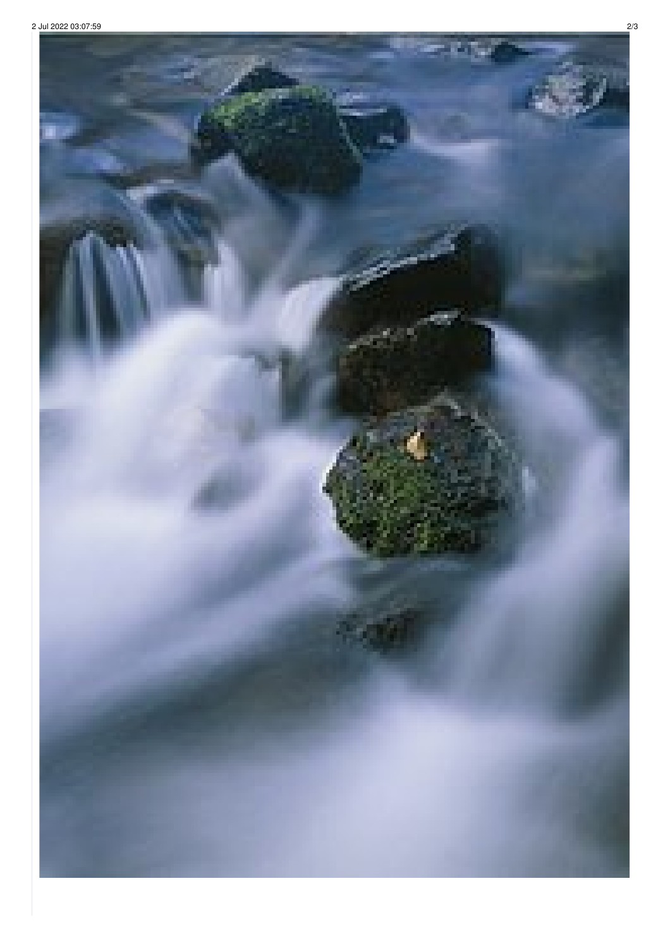